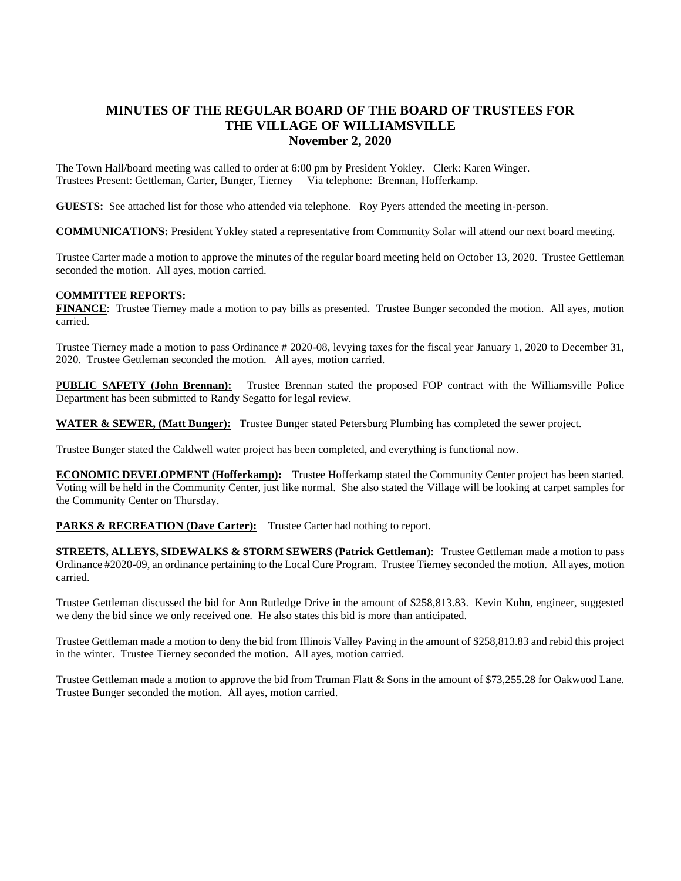## **MINUTES OF THE REGULAR BOARD OF THE BOARD OF TRUSTEES FOR THE VILLAGE OF WILLIAMSVILLE November 2, 2020**

The Town Hall/board meeting was called to order at 6:00 pm by President Yokley. Clerk: Karen Winger. Trustees Present: Gettleman, Carter, Bunger, Tierney Via telephone: Brennan, Hofferkamp.

**GUESTS:** See attached list for those who attended via telephone. Roy Pyers attended the meeting in-person.

**COMMUNICATIONS:** President Yokley stated a representative from Community Solar will attend our next board meeting.

Trustee Carter made a motion to approve the minutes of the regular board meeting held on October 13, 2020. Trustee Gettleman seconded the motion. All ayes, motion carried.

## C**OMMITTEE REPORTS:**

**FINANCE**: Trustee Tierney made a motion to pay bills as presented. Trustee Bunger seconded the motion. All ayes, motion carried.

Trustee Tierney made a motion to pass Ordinance # 2020-08, levying taxes for the fiscal year January 1, 2020 to December 31, 2020. Trustee Gettleman seconded the motion. All ayes, motion carried.

P**UBLIC SAFETY (John Brennan):** Trustee Brennan stated the proposed FOP contract with the Williamsville Police Department has been submitted to Randy Segatto for legal review.

**WATER & SEWER, (Matt Bunger):** Trustee Bunger stated Petersburg Plumbing has completed the sewer project.

Trustee Bunger stated the Caldwell water project has been completed, and everything is functional now.

**ECONOMIC DEVELOPMENT (Hofferkamp):** Trustee Hofferkamp stated the Community Center project has been started. Voting will be held in the Community Center, just like normal. She also stated the Village will be looking at carpet samples for the Community Center on Thursday.

PARKS & RECREATION (Dave Carter): Trustee Carter had nothing to report.

**STREETS, ALLEYS, SIDEWALKS & STORM SEWERS (Patrick Gettleman)**: Trustee Gettleman made a motion to pass Ordinance #2020-09, an ordinance pertaining to the Local Cure Program. Trustee Tierney seconded the motion. All ayes, motion carried.

Trustee Gettleman discussed the bid for Ann Rutledge Drive in the amount of \$258,813.83. Kevin Kuhn, engineer, suggested we deny the bid since we only received one. He also states this bid is more than anticipated.

Trustee Gettleman made a motion to deny the bid from Illinois Valley Paving in the amount of \$258,813.83 and rebid this project in the winter. Trustee Tierney seconded the motion. All ayes, motion carried.

Trustee Gettleman made a motion to approve the bid from Truman Flatt & Sons in the amount of \$73,255.28 for Oakwood Lane. Trustee Bunger seconded the motion. All ayes, motion carried.